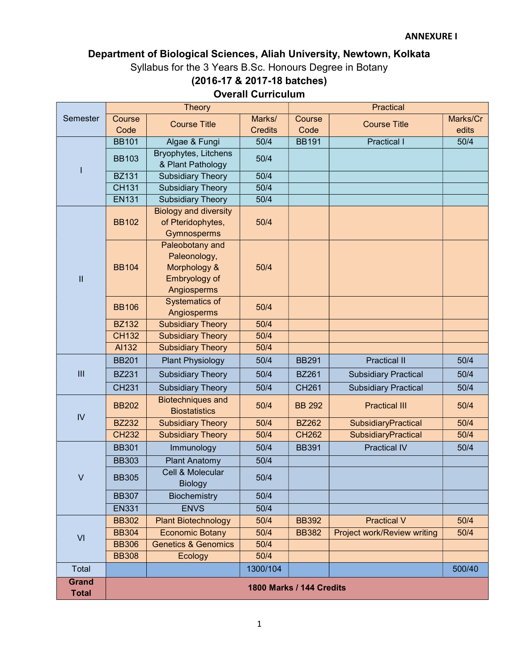# Department of Biological Sciences, Aliah University, Newtown, Kolkata Syllabus for the 3 Years B.Sc. Honours Degree in Botany (2016-17 & 2017-18 batches)

# Overall Curriculum

|                                                                                                                                                                                                                                                                                                                                                                                                                                                                     |                                 | <b>Theory</b>                                                    |                |               | <b>Practical</b>                                                                                                                                                                                                                                  |          |  |
|---------------------------------------------------------------------------------------------------------------------------------------------------------------------------------------------------------------------------------------------------------------------------------------------------------------------------------------------------------------------------------------------------------------------------------------------------------------------|---------------------------------|------------------------------------------------------------------|----------------|---------------|---------------------------------------------------------------------------------------------------------------------------------------------------------------------------------------------------------------------------------------------------|----------|--|
| Semester                                                                                                                                                                                                                                                                                                                                                                                                                                                            | Course                          | <b>Course Title</b>                                              | Marks/         | Course        |                                                                                                                                                                                                                                                   | Marks/Cr |  |
|                                                                                                                                                                                                                                                                                                                                                                                                                                                                     | Code                            |                                                                  | <b>Credits</b> | Code          | <b>Course Title</b><br><b>Practical I</b><br><b>Practical II</b><br><b>Subsidiary Practical</b><br><b>Subsidiary Practical</b><br><b>Practical III</b><br>SubsidiaryPractical<br>SubsidiaryPractical<br><b>Practical IV</b><br><b>Practical V</b> | edits    |  |
|                                                                                                                                                                                                                                                                                                                                                                                                                                                                     | <b>BB101</b>                    | Algae & Fungi                                                    | 50/4           | <b>BB191</b>  |                                                                                                                                                                                                                                                   | 50/4     |  |
| ı                                                                                                                                                                                                                                                                                                                                                                                                                                                                   | <b>BB103</b>                    | Bryophytes, Litchens<br>& Plant Pathology                        | 50/4           |               |                                                                                                                                                                                                                                                   |          |  |
|                                                                                                                                                                                                                                                                                                                                                                                                                                                                     | <b>BZ131</b>                    | <b>Subsidiary Theory</b>                                         | 50/4           |               |                                                                                                                                                                                                                                                   |          |  |
|                                                                                                                                                                                                                                                                                                                                                                                                                                                                     | <b>CH131</b>                    | <b>Subsidiary Theory</b>                                         | 50/4           |               |                                                                                                                                                                                                                                                   |          |  |
|                                                                                                                                                                                                                                                                                                                                                                                                                                                                     | <b>EN131</b>                    | <b>Subsidiary Theory</b>                                         | 50/4           |               |                                                                                                                                                                                                                                                   |          |  |
| $\mathbf{I}$                                                                                                                                                                                                                                                                                                                                                                                                                                                        | <b>BB102</b>                    | <b>Biology and diversity</b><br>of Pteridophytes,<br>Gymnosperms | 50/4           |               |                                                                                                                                                                                                                                                   |          |  |
|                                                                                                                                                                                                                                                                                                                                                                                                                                                                     | <b>BB104</b>                    | Paleonology,<br>Morphology &<br>Embryology of<br>Angiosperms     | 50/4           |               |                                                                                                                                                                                                                                                   |          |  |
|                                                                                                                                                                                                                                                                                                                                                                                                                                                                     | <b>BB106</b>                    | Systematics of<br>Angiosperms                                    | 50/4           |               |                                                                                                                                                                                                                                                   |          |  |
|                                                                                                                                                                                                                                                                                                                                                                                                                                                                     | <b>BZ132</b>                    | <b>Subsidiary Theory</b>                                         | 50/4           |               |                                                                                                                                                                                                                                                   |          |  |
|                                                                                                                                                                                                                                                                                                                                                                                                                                                                     | <b>CH132</b>                    | <b>Subsidiary Theory</b>                                         | 50/4           |               |                                                                                                                                                                                                                                                   |          |  |
|                                                                                                                                                                                                                                                                                                                                                                                                                                                                     | AI132                           | <b>Subsidiary Theory</b>                                         | 50/4           |               |                                                                                                                                                                                                                                                   |          |  |
|                                                                                                                                                                                                                                                                                                                                                                                                                                                                     | <b>BB201</b>                    | <b>Plant Physiology</b>                                          | 50/4           | <b>BB291</b>  |                                                                                                                                                                                                                                                   | 50/4     |  |
| III                                                                                                                                                                                                                                                                                                                                                                                                                                                                 | <b>BZ231</b>                    | <b>Subsidiary Theory</b>                                         | 50/4           | <b>BZ261</b>  |                                                                                                                                                                                                                                                   | 50/4     |  |
| Paleobotany and<br><b>CH231</b><br><b>Subsidiary Theory</b><br>50/4<br><b>Biotechniques and</b><br>50/4<br><b>BB202</b><br><b>Biostatistics</b><br>IV<br><b>BZ232</b><br><b>Subsidiary Theory</b><br>50/4<br><b>Subsidiary Theory</b><br>50/4<br><b>CH232</b><br><b>BB301</b><br>Immunology<br>50/4<br><b>BB303</b><br><b>Plant Anatomy</b><br>50/4<br>Cell & Molecular<br>$\vee$<br><b>BB305</b><br>50/4<br><b>Biology</b><br>50/4<br><b>BB307</b><br>Biochemistry | <b>CH261</b>                    |                                                                  | 50/4           |               |                                                                                                                                                                                                                                                   |          |  |
|                                                                                                                                                                                                                                                                                                                                                                                                                                                                     |                                 |                                                                  |                | <b>BB 292</b> |                                                                                                                                                                                                                                                   | 50/4     |  |
|                                                                                                                                                                                                                                                                                                                                                                                                                                                                     |                                 |                                                                  |                | <b>BZ262</b>  |                                                                                                                                                                                                                                                   | 50/4     |  |
|                                                                                                                                                                                                                                                                                                                                                                                                                                                                     |                                 |                                                                  |                | <b>CH262</b>  |                                                                                                                                                                                                                                                   | 50/4     |  |
|                                                                                                                                                                                                                                                                                                                                                                                                                                                                     |                                 |                                                                  |                | <b>BB391</b>  |                                                                                                                                                                                                                                                   | 50/4     |  |
|                                                                                                                                                                                                                                                                                                                                                                                                                                                                     |                                 |                                                                  |                |               |                                                                                                                                                                                                                                                   |          |  |
|                                                                                                                                                                                                                                                                                                                                                                                                                                                                     |                                 |                                                                  |                |               |                                                                                                                                                                                                                                                   |          |  |
|                                                                                                                                                                                                                                                                                                                                                                                                                                                                     |                                 |                                                                  |                |               |                                                                                                                                                                                                                                                   |          |  |
|                                                                                                                                                                                                                                                                                                                                                                                                                                                                     | <b>EN331</b>                    | <b>ENVS</b>                                                      | 50/4           |               |                                                                                                                                                                                                                                                   |          |  |
|                                                                                                                                                                                                                                                                                                                                                                                                                                                                     | <b>BB302</b>                    | <b>Plant Biotechnology</b>                                       | 50/4           | <b>BB392</b>  |                                                                                                                                                                                                                                                   | 50/4     |  |
| VI                                                                                                                                                                                                                                                                                                                                                                                                                                                                  | <b>BB304</b>                    | <b>Economic Botany</b>                                           | 50/4           | <b>BB382</b>  | Project work/Review writing                                                                                                                                                                                                                       | 50/4     |  |
|                                                                                                                                                                                                                                                                                                                                                                                                                                                                     | <b>BB306</b>                    | <b>Genetics &amp; Genomics</b>                                   | 50/4           |               |                                                                                                                                                                                                                                                   |          |  |
|                                                                                                                                                                                                                                                                                                                                                                                                                                                                     | <b>BB308</b>                    | Ecology                                                          | 50/4           |               |                                                                                                                                                                                                                                                   |          |  |
| Total                                                                                                                                                                                                                                                                                                                                                                                                                                                               |                                 |                                                                  | 1300/104       |               |                                                                                                                                                                                                                                                   | 500/40   |  |
| <b>Grand</b><br><b>Total</b>                                                                                                                                                                                                                                                                                                                                                                                                                                        | <b>1800 Marks / 144 Credits</b> |                                                                  |                |               |                                                                                                                                                                                                                                                   |          |  |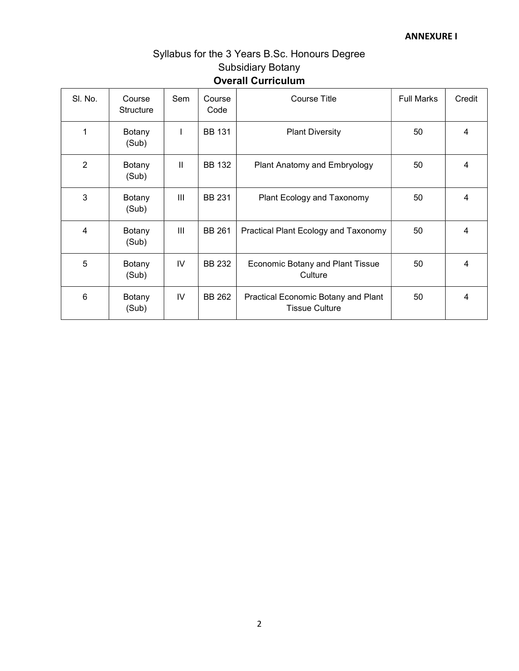# Syllabus for the 3 Years B.Sc. Honours Degree Subsidiary Botany Overall Curriculum

| SI. No.        | Course<br><b>Structure</b> | Sem           | Course<br>Code | Course Title                                                 | <b>Full Marks</b> | Credit |
|----------------|----------------------------|---------------|----------------|--------------------------------------------------------------|-------------------|--------|
| 1              | Botany<br>(Sub)            |               | <b>BB 131</b>  | <b>Plant Diversity</b>                                       | 50                | 4      |
| $\overline{2}$ | Botany<br>(Sub)            | $\mathbf{II}$ | <b>BB 132</b>  | Plant Anatomy and Embryology                                 | 50                | 4      |
| 3              | Botany<br>(Sub)            | III           | <b>BB 231</b>  | Plant Ecology and Taxonomy                                   | 50                | 4      |
| 4              | Botany<br>(Sub)            | Ш             | <b>BB 261</b>  | Practical Plant Ecology and Taxonomy                         | 50                | 4      |
| 5              | Botany<br>(Sub)            | IV            | BB 232         | <b>Economic Botany and Plant Tissue</b><br>Culture           | 50                | 4      |
| 6              | Botany<br>(Sub)            | IV            | <b>BB 262</b>  | Practical Economic Botany and Plant<br><b>Tissue Culture</b> | 50                | 4      |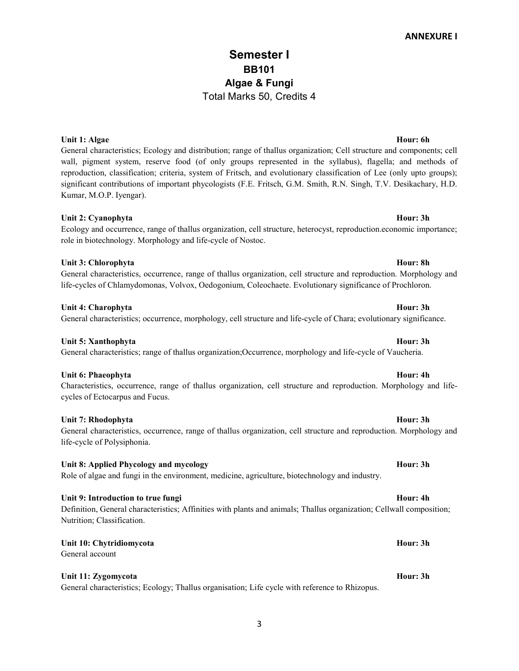# Semester I BB101 Algae & Fungi Total Marks 50, Credits 4

# Unit 1: Algae Hour: 6h

General characteristics; Ecology and distribution; range of thallus organization; Cell structure and components; cell wall, pigment system, reserve food (of only groups represented in the syllabus), flagella; and methods of reproduction, classification; criteria, system of Fritsch, and evolutionary classification of Lee (only upto groups); significant contributions of important phycologists (F.E. Fritsch, G.M. Smith, R.N. Singh, T.V. Desikachary, H.D. Kumar, M.O.P. Iyengar).

# Unit 2: Cyanophyta **Hour: 3h**

# Ecology and occurrence, range of thallus organization, cell structure, heterocyst, reproduction.economic importance; role in biotechnology. Morphology and life-cycle of Nostoc.

# Unit 3: Chlorophyta **Hour: 8h**

General characteristics, occurrence, range of thallus organization, cell structure and reproduction. Morphology and life-cycles of Chlamydomonas, Volvox, Oedogonium, Coleochaete. Evolutionary significance of Prochloron.

# Unit 4: Charophyta **Hour: 3h** Hour: 3h

# General characteristics; occurrence, morphology, cell structure and life-cycle of Chara; evolutionary significance.

# Unit 5: Xanthophyta **Hour: 3h**

General characteristics; range of thallus organization;Occurrence, morphology and life-cycle of Vaucheria.

# Unit 6: Phaeophyta **Hour: 4h**

# Characteristics, occurrence, range of thallus organization, cell structure and reproduction. Morphology and lifecycles of Ectocarpus and Fucus.

# Unit 7: Rhodophyta **Hour: 3h**

# General characteristics, occurrence, range of thallus organization, cell structure and reproduction. Morphology and life-cycle of Polysiphonia.

# Unit 8: Applied Phycology and mycology Hour: 3h

# Role of algae and fungi in the environment, medicine, agriculture, biotechnology and industry.

# Unit 9: Introduction to true fungi **Hour: 4h** Hour: 4h

# Definition, General characteristics; Affinities with plants and animals; Thallus organization; Cellwall composition; Nutrition; Classification.

# Unit 10: Chytridiomycota **Hour: 3h** Hour: 3h

General account

# Unit 11: Zygomycota **Hour: 3h**

General characteristics; Ecology; Thallus organisation; Life cycle with reference to Rhizopus.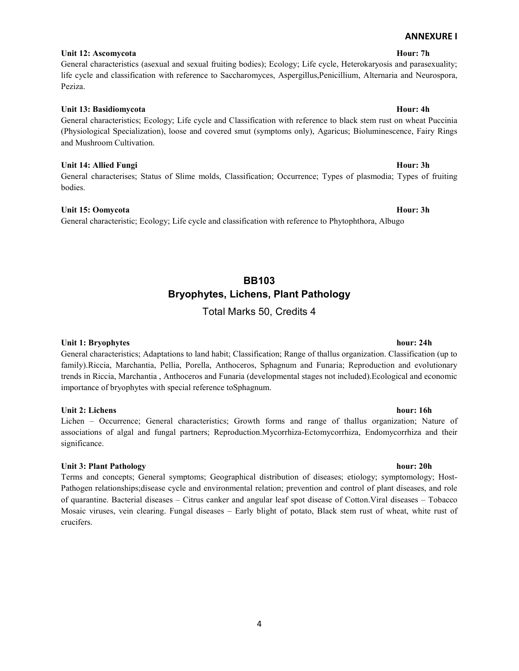### 4

# Unit 12: Ascomycota **Hour: 7h**

# General characteristics (asexual and sexual fruiting bodies); Ecology; Life cycle, Heterokaryosis and parasexuality; life cycle and classification with reference to Saccharomyces, Aspergillus,Penicillium, Alternaria and Neurospora, Peziza.

# Unit 13: Basidiomycota **Hour: 4h** Hour: 4h

# General characteristics; Ecology; Life cycle and Classification with reference to black stem rust on wheat Puccinia (Physiological Specialization), loose and covered smut (symptoms only), Agaricus; Bioluminescence, Fairy Rings and Mushroom Cultivation.

# Unit 14: Allied Fungi **Hour: 3h**

General characterises; Status of Slime molds, Classification; Occurrence; Types of plasmodia; Types of fruiting bodies.

### Unit 15: Oomycota Hour: 3h

General characteristic; Ecology; Life cycle and classification with reference to Phytophthora, Albugo

# BB103 Bryophytes, Lichens, Plant Pathology

Total Marks 50, Credits 4

# Unit 1: Bryophytes hour: 24h

General characteristics; Adaptations to land habit; Classification; Range of thallus organization. Classification (up to family).Riccia, Marchantia, Pellia, Porella, Anthoceros, Sphagnum and Funaria; Reproduction and evolutionary trends in Riccia, Marchantia , Anthoceros and Funaria (developmental stages not included).Ecological and economic importance of bryophytes with special reference toSphagnum.

# Unit 2: Lichens hour: 16h

Lichen – Occurrence; General characteristics; Growth forms and range of thallus organization; Nature of associations of algal and fungal partners; Reproduction.Mycorrhiza-Ectomycorrhiza, Endomycorrhiza and their significance.

# Unit 3: Plant Pathology hour: 20h

Terms and concepts; General symptoms; Geographical distribution of diseases; etiology; symptomology; Host-Pathogen relationships;disease cycle and environmental relation; prevention and control of plant diseases, and role of quarantine. Bacterial diseases – Citrus canker and angular leaf spot disease of Cotton.Viral diseases – Tobacco Mosaic viruses, vein clearing. Fungal diseases – Early blight of potato, Black stem rust of wheat, white rust of crucifers.

ANNEXURE I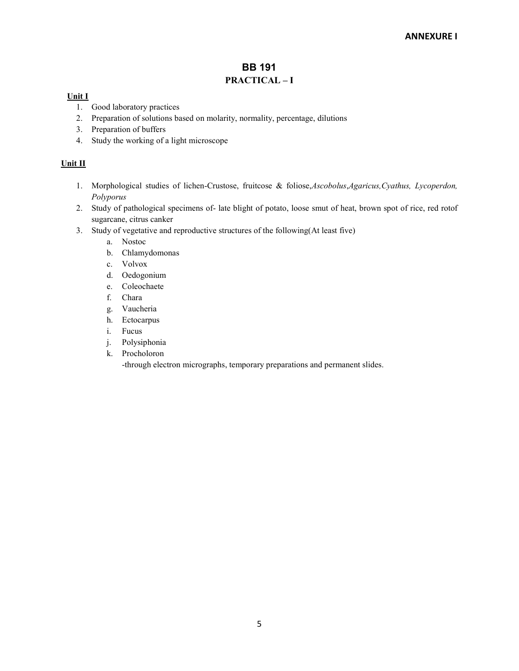# BB 191 PRACTICAL – I

# Unit I

- 1. Good laboratory practices
- 2. Preparation of solutions based on molarity, normality, percentage, dilutions
- 3. Preparation of buffers
- 4. Study the working of a light microscope

# Unit II

- 1. Morphological studies of lichen-Crustose, fruitcose & foliose, Ascobolus, Agaricus, Cyathus, Lycoperdon, Polyporus
- 2. Study of pathological specimens of- late blight of potato, loose smut of heat, brown spot of rice, red rotof sugarcane, citrus canker
- 3. Study of vegetative and reproductive structures of the following(At least five)
	- a. Nostoc
	- b. Chlamydomonas
	- c. Volvox
	- d. Oedogonium
	- e. Coleochaete
	- f. Chara
	- g. Vaucheria
	- h. Ectocarpus
	- i. Fucus
	- j. Polysiphonia
	- k. Procholoron

-through electron micrographs, temporary preparations and permanent slides.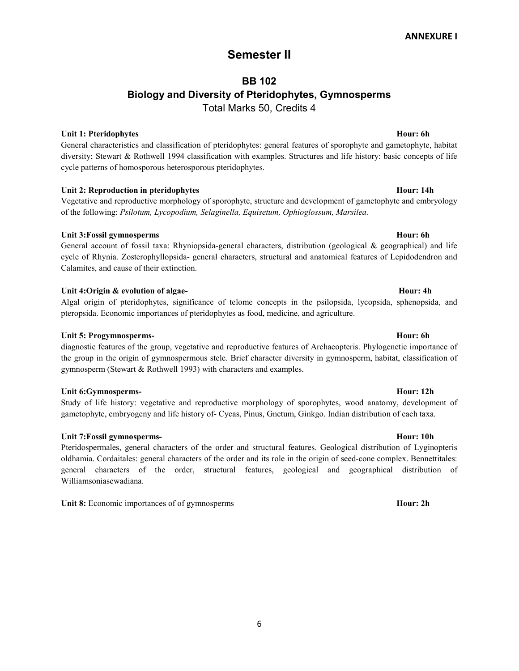# Semester II

# BB 102 Biology and Diversity of Pteridophytes, Gymnosperms Total Marks 50, Credits 4

# Unit 1: Pteridophytes **Hour: 6h** Hour: 6h Hour: 6h Hour: 6h Hour: 6h Hour: 6h Hour: 6h Hour: 6h Hour: 6h Hour: 6h

General characteristics and classification of pteridophytes: general features of sporophyte and gametophyte, habitat diversity; Stewart & Rothwell 1994 classification with examples. Structures and life history: basic concepts of life cycle patterns of homosporous heterosporous pteridophytes.

# Unit 2: Reproduction in pteridophytes **Hour: 14h** Hour: 14h

Vegetative and reproductive morphology of sporophyte, structure and development of gametophyte and embryology of the following: Psilotum, Lycopodium, Selaginella, Equisetum, Ophioglossum, Marsilea.

### Unit 3:Fossil gymnosperms Hour: 6h

General account of fossil taxa: Rhyniopsida-general characters, distribution (geological & geographical) and life cycle of Rhynia. Zosterophyllopsida- general characters, structural and anatomical features of Lepidodendron and Calamites, and cause of their extinction.

### Unit 4:Origin & evolution of algae-<br>
Hour: 4h

Algal origin of pteridophytes, significance of telome concepts in the psilopsida, lycopsida, sphenopsida, and pteropsida. Economic importances of pteridophytes as food, medicine, and agriculture.

# Unit 5: Progymnosperms- **Hour: 6h** Hour: 6h

diagnostic features of the group, vegetative and reproductive features of Archaeopteris. Phylogenetic importance of the group in the origin of gymnospermous stele. Brief character diversity in gymnosperm, habitat, classification of gymnosperm (Stewart & Rothwell 1993) with characters and examples.

### Unit 6:Gymnosperms- Hour: 12h

Study of life history: vegetative and reproductive morphology of sporophytes, wood anatomy, development of gametophyte, embryogeny and life history of- Cycas, Pinus, Gnetum, Ginkgo. Indian distribution of each taxa.

# Unit 7:Fossil gymnosperms- Hour: 10h

Pteridospermales, general characters of the order and structural features. Geological distribution of Lyginopteris oldhamia. Cordaitales: general characters of the order and its role in the origin of seed-cone complex. Bennettitales: general characters of the order, structural features, geological and geographical distribution of Williamsoniasewadiana.

Unit 8: Economic importances of of gymnosperms Hour: 2h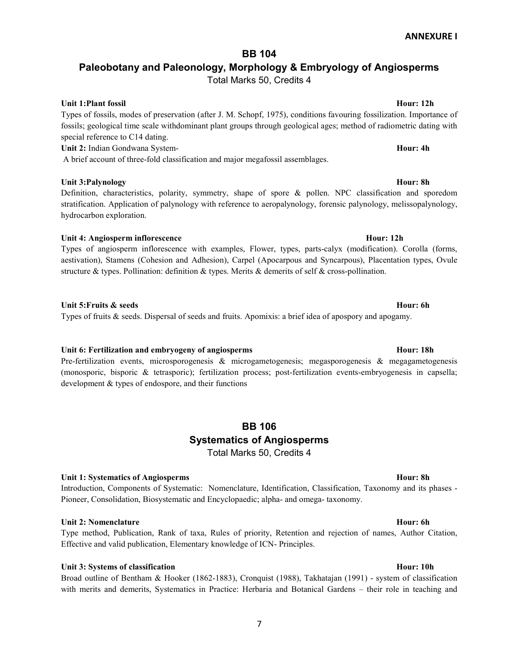# BB 104

# Paleobotany and Paleonology, Morphology & Embryology of Angiosperms

Total Marks 50, Credits 4

# Unit 1:Plant fossil and the set of the set of the set of the set of the set of the Hour: 12h Hour: 12h

Types of fossils, modes of preservation (after J. M. Schopf, 1975), conditions favouring fossilization. Importance of fossils; geological time scale withdominant plant groups through geological ages; method of radiometric dating with special reference to C14 dating. Unit 2: Indian Gondwana System-<br>
Hour: 4h

A brief account of three-fold classification and major megafossil assemblages.

# Unit 3:Palynology **Hour: 8h**

Definition, characteristics, polarity, symmetry, shape of spore & pollen. NPC classification and sporedom stratification. Application of palynology with reference to aeropalynology, forensic palynology, melissopalynology, hydrocarbon exploration.

# Unit 4: Angiosperm inflorescence Hour: 12h

Types of angiosperm inflorescence with examples, Flower, types, parts-calyx (modification). Corolla (forms, aestivation), Stamens (Cohesion and Adhesion), Carpel (Apocarpous and Syncarpous), Placentation types, Ovule structure & types. Pollination: definition & types. Merits & demerits of self & cross-pollination.

# Unit 5:Fruits & seeds Hour: 6h

Types of fruits & seeds. Dispersal of seeds and fruits. Apomixis: a brief idea of apospory and apogamy.

# Unit 6: Fertilization and embryogeny of angiosperms Theorem Assembly Hour: 18h

Pre-fertilization events, microsporogenesis & microgametogenesis; megasporogenesis & megagametogenesis (monosporic, bisporic & tetrasporic); fertilization process; post-fertilization events-embryogenesis in capsella; development & types of endospore, and their functions

# BB 106 Systematics of Angiosperms Total Marks 50, Credits 4

# Unit 1: Systematics of Angiosperms Hour: 8h

Introduction, Components of Systematic: Nomenclature, Identification, Classification, Taxonomy and its phases - Pioneer, Consolidation, Biosystematic and Encyclopaedic; alpha- and omega- taxonomy.

# Unit 2: Nomenclature Hour: 6h

Type method, Publication, Rank of taxa, Rules of priority, Retention and rejection of names, Author Citation, Effective and valid publication, Elementary knowledge of ICN- Principles.

# Unit 3: Systems of classification Hour: 10h

Broad outline of Bentham & Hooker (1862-1883), Cronquist (1988), Takhatajan (1991) - system of classification with merits and demerits, Systematics in Practice: Herbaria and Botanical Gardens – their role in teaching and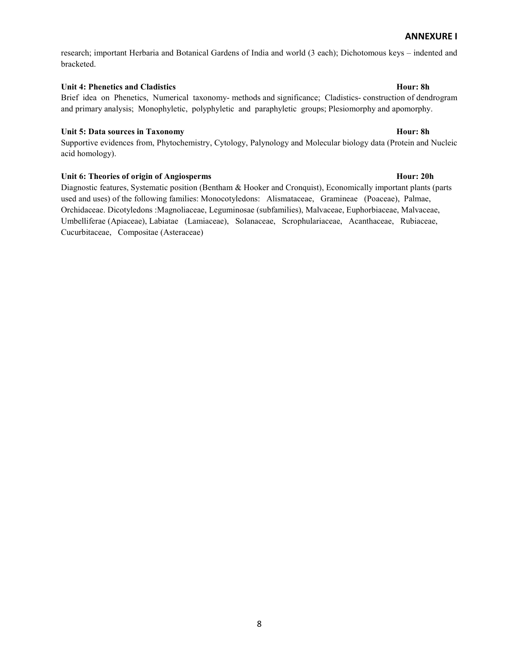research; important Herbaria and Botanical Gardens of India and world (3 each); Dichotomous keys – indented and bracketed.

### Unit 4: Phenetics and Cladistics Hour: 8h

Brief idea on Phenetics, Numerical taxonomy- methods and significance; Cladistics- construction of dendrogram and primary analysis; Monophyletic, polyphyletic and paraphyletic groups; Plesiomorphy and apomorphy.

# Unit 5: Data sources in Taxonomy **Hour: 8h** Hour: 8h

Supportive evidences from, Phytochemistry, Cytology, Palynology and Molecular biology data (Protein and Nucleic acid homology).

# Unit 6: Theories of origin of Angiosperms **Hour:** 20h

Diagnostic features, Systematic position (Bentham & Hooker and Cronquist), Economically important plants (parts used and uses) of the following families: Monocotyledons: Alismataceae, Gramineae (Poaceae), Palmae, Orchidaceae. Dicotyledons :Magnoliaceae, Leguminosae (subfamilies), Malvaceae, Euphorbiaceae, Malvaceae, Umbelliferae (Apiaceae), Labiatae (Lamiaceae), Solanaceae, Scrophulariaceae, Acanthaceae, Rubiaceae, Cucurbitaceae, Compositae (Asteraceae)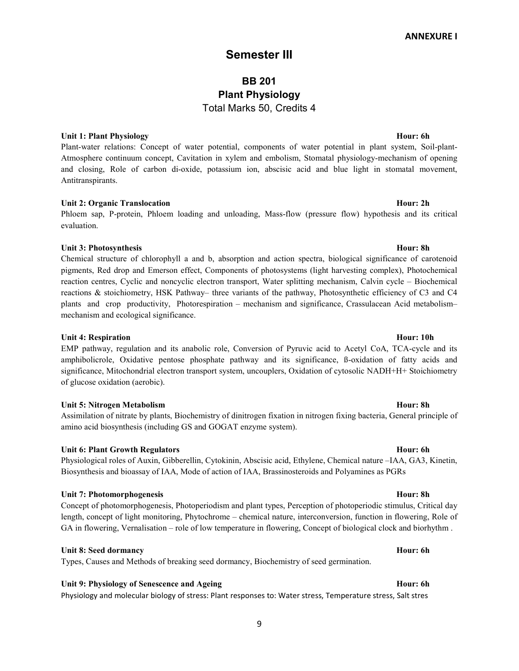# Semester III

# BB 201 Plant Physiology Total Marks 50, Credits 4

# Unit 1: Plant Physiology **Hour: 6h** Hour: 6h

Plant-water relations: Concept of water potential, components of water potential in plant system, Soil-plant-Atmosphere continuum concept, Cavitation in xylem and embolism, Stomatal physiology-mechanism of opening and closing, Role of carbon di-oxide, potassium ion, abscisic acid and blue light in stomatal movement, Antitranspirants.

# Unit 2: Organic Translocation **Hour: 2h** Hour: 2h

Phloem sap, P-protein, Phloem loading and unloading, Mass-flow (pressure flow) hypothesis and its critical evaluation.

### Unit 3: Photosynthesis Hour: 8h

Chemical structure of chlorophyll a and b, absorption and action spectra, biological significance of carotenoid pigments, Red drop and Emerson effect, Components of photosystems (light harvesting complex), Photochemical reaction centres, Cyclic and noncyclic electron transport, Water splitting mechanism, Calvin cycle – Biochemical reactions & stoichiometry, HSK Pathway– three variants of the pathway, Photosynthetic efficiency of C3 and C4 plants and crop productivity, Photorespiration – mechanism and significance, Crassulacean Acid metabolism– mechanism and ecological significance.

### Unit 4: Respiration Hour: 10h

EMP pathway, regulation and its anabolic role, Conversion of Pyruvic acid to Acetyl CoA, TCA-cycle and its amphibolicrole, Oxidative pentose phosphate pathway and its significance, ß-oxidation of fatty acids and significance, Mitochondrial electron transport system, uncouplers, Oxidation of cytosolic NADH+H+ Stoichiometry of glucose oxidation (aerobic).

### Unit 5: Nitrogen Metabolism **Hour: 8h** Hour: 8h

Assimilation of nitrate by plants, Biochemistry of dinitrogen fixation in nitrogen fixing bacteria, General principle of amino acid biosynthesis (including GS and GOGAT enzyme system).

# Unit 6: Plant Growth Regulators **Hour: 6h** Bour: 6h

Physiological roles of Auxin, Gibberellin, Cytokinin, Abscisic acid, Ethylene, Chemical nature –IAA, GA3, Kinetin, Biosynthesis and bioassay of IAA, Mode of action of IAA, Brassinosteroids and Polyamines as PGRs

# Unit 7: Photomorphogenesis **Hour: 8h** Hour: 8h

Concept of photomorphogenesis, Photoperiodism and plant types, Perception of photoperiodic stimulus, Critical day length, concept of light monitoring, Phytochrome – chemical nature, interconversion, function in flowering, Role of GA in flowering, Vernalisation – role of low temperature in flowering, Concept of biological clock and biorhythm .

### Unit 8: Seed dormancy **Hour: 6h** Hour: 6h Hour: 6h Hour: 6h Hour: 6h Hour: 6h Hour: 6h Hour: 6h Hour: 6h Hour: 6h

Types, Causes and Methods of breaking seed dormancy, Biochemistry of seed germination.

# Unit 9: Physiology of Senescence and Ageing Hour: 6h

Physiology and molecular biology of stress: Plant responses to: Water stress, Temperature stress, Salt stres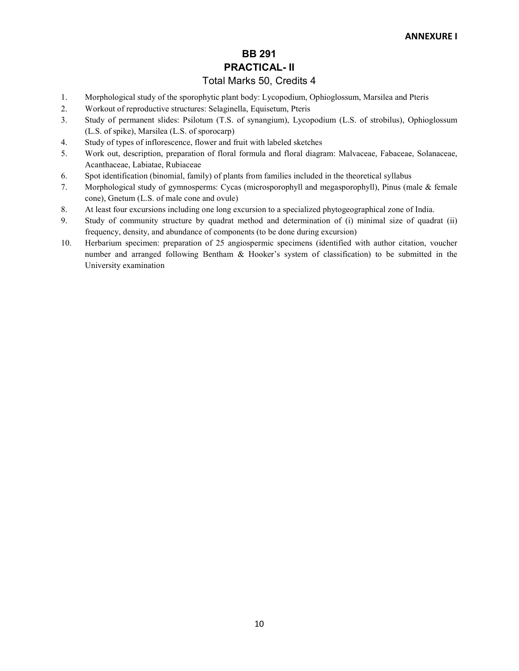# BB 291 PRACTICAL- II

# Total Marks 50, Credits 4

- 1. Morphological study of the sporophytic plant body: Lycopodium, Ophioglossum, Marsilea and Pteris
- 2. Workout of reproductive structures: Selaginella, Equisetum, Pteris
- 3. Study of permanent slides: Psilotum (T.S. of synangium), Lycopodium (L.S. of strobilus), Ophioglossum (L.S. of spike), Marsilea (L.S. of sporocarp)
- 4. Study of types of inflorescence, flower and fruit with labeled sketches
- 5. Work out, description, preparation of floral formula and floral diagram: Malvaceae, Fabaceae, Solanaceae, Acanthaceae, Labiatae, Rubiaceae
- 6. Spot identification (binomial, family) of plants from families included in the theoretical syllabus
- 7. Morphological study of gymnosperms: Cycas (microsporophyll and megasporophyll), Pinus (male & female cone), Gnetum (L.S. of male cone and ovule)
- 8. At least four excursions including one long excursion to a specialized phytogeographical zone of India.
- 9. Study of community structure by quadrat method and determination of (i) minimal size of quadrat (ii) frequency, density, and abundance of components (to be done during excursion)
- 10. Herbarium specimen: preparation of 25 angiospermic specimens (identified with author citation, voucher number and arranged following Bentham & Hooker's system of classification) to be submitted in the University examination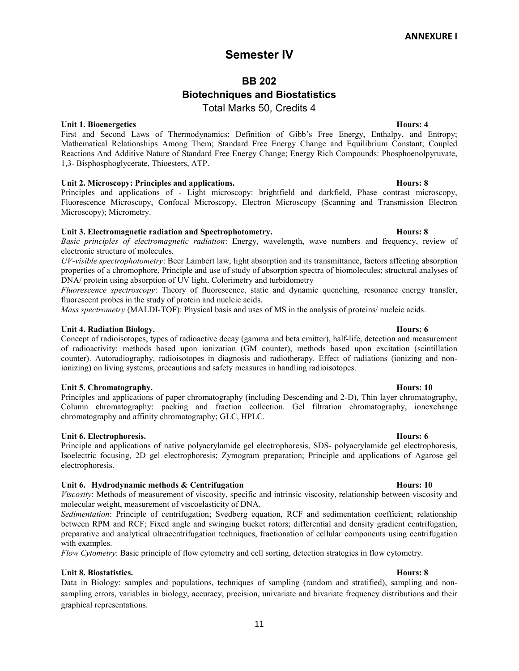# Semester IV

# BB 202

# Biotechniques and Biostatistics

Total Marks 50, Credits 4

# Unit 1. Bioenergetics **Hours: 4**

First and Second Laws of Thermodynamics; Definition of Gibb's Free Energy, Enthalpy, and Entropy; Mathematical Relationships Among Them; Standard Free Energy Change and Equilibrium Constant; Coupled Reactions And Additive Nature of Standard Free Energy Change; Energy Rich Compounds: Phosphoenolpyruvate, 1,3- Bisphosphoglycerate, Thioesters, ATP.

# Unit 2. Microscopy: Principles and applications. The matrix of the set of the Hours: 8

Principles and applications of - Light microscopy: brightfield and darkfield, Phase contrast microscopy, Fluorescence Microscopy, Confocal Microscopy, Electron Microscopy (Scanning and Transmission Electron Microscopy); Micrometry.

# Unit 3. Electromagnetic radiation and Spectrophotometry. The extra set of the Hours: 8

Basic principles of electromagnetic radiation: Energy, wavelength, wave numbers and frequency, review of electronic structure of molecules.

UV-visible spectrophotometry: Beer Lambert law, light absorption and its transmittance, factors affecting absorption properties of a chromophore, Principle and use of study of absorption spectra of biomolecules; structural analyses of DNA/ protein using absorption of UV light. Colorimetry and turbidometry

Fluorescence spectroscopy: Theory of fluorescence, static and dynamic quenching, resonance energy transfer, fluorescent probes in the study of protein and nucleic acids.

Mass spectrometry (MALDI-TOF): Physical basis and uses of MS in the analysis of proteins/ nucleic acids.

# Unit 4. Radiation Biology. The contract of the contract of the contract of the contract of the contract of the contract of the contract of the contract of the contract of the contract of the contract of the contract of the

Concept of radioisotopes, types of radioactive decay (gamma and beta emitter), half-life, detection and measurement of radioactivity: methods based upon ionization (GM counter), methods based upon excitation (scintillation counter). Autoradiography, radioisotopes in diagnosis and radiotherapy. Effect of radiations (ionizing and nonionizing) on living systems, precautions and safety measures in handling radioisotopes.

# Unit 5. Chromatography. **Hours: 10**

Principles and applications of paper chromatography (including Descending and 2-D), Thin layer chromatography, Column chromatography: packing and fraction collection. Gel filtration chromatography, ionexchange chromatography and affinity chromatography; GLC, HPLC.

# Unit 6. Electrophoresis. Hours: 6

Principle and applications of native polyacrylamide gel electrophoresis, SDS- polyacrylamide gel electrophoresis, Isoelectric focusing, 2D gel electrophoresis; Zymogram preparation; Principle and applications of Agarose gel electrophoresis.

# Unit 6. Hydrodynamic methods & Centrifugation **Hours:** 10 Hours: 10

Viscosity: Methods of measurement of viscosity, specific and intrinsic viscosity, relationship between viscosity and molecular weight, measurement of viscoelasticity of DNA.

Sedimentation: Principle of centrifugation; Svedberg equation, RCF and sedimentation coefficient; relationship between RPM and RCF; Fixed angle and swinging bucket rotors; differential and density gradient centrifugation, preparative and analytical ultracentrifugation techniques, fractionation of cellular components using centrifugation with examples.

Flow Cytometry: Basic principle of flow cytometry and cell sorting, detection strategies in flow cytometry.

# Unit 8. Biostatistics. Hours: 8

Data in Biology: samples and populations, techniques of sampling (random and stratified), sampling and nonsampling errors, variables in biology, accuracy, precision, univariate and bivariate frequency distributions and their graphical representations.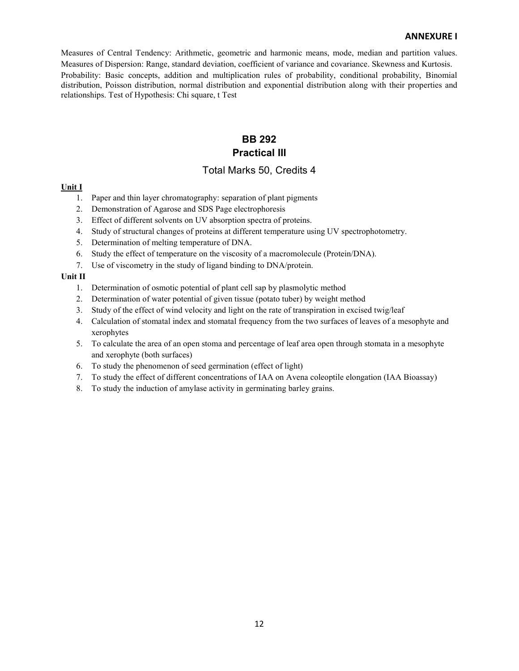Measures of Central Tendency: Arithmetic, geometric and harmonic means, mode, median and partition values. Measures of Dispersion: Range, standard deviation, coefficient of variance and covariance. Skewness and Kurtosis. Probability: Basic concepts, addition and multiplication rules of probability, conditional probability, Binomial distribution, Poisson distribution, normal distribution and exponential distribution along with their properties and relationships. Test of Hypothesis: Chi square, t Test

# BB 292 Practical III

# Total Marks 50, Credits 4

### Unit I

- 1. Paper and thin layer chromatography: separation of plant pigments
- 2. Demonstration of Agarose and SDS Page electrophoresis
- 3. Effect of different solvents on UV absorption spectra of proteins.
- 4. Study of structural changes of proteins at different temperature using UV spectrophotometry.
- 5. Determination of melting temperature of DNA.
- 6. Study the effect of temperature on the viscosity of a macromolecule (Protein/DNA).
- 7. Use of viscometry in the study of ligand binding to DNA/protein.

### Unit II

- 1. Determination of osmotic potential of plant cell sap by plasmolytic method
- 2. Determination of water potential of given tissue (potato tuber) by weight method
- 3. Study of the effect of wind velocity and light on the rate of transpiration in excised twig/leaf
- 4. Calculation of stomatal index and stomatal frequency from the two surfaces of leaves of a mesophyte and xerophytes
- 5. To calculate the area of an open stoma and percentage of leaf area open through stomata in a mesophyte and xerophyte (both surfaces)
- 6. To study the phenomenon of seed germination (effect of light)
- 7. To study the effect of different concentrations of IAA on Avena coleoptile elongation (IAA Bioassay)
- 8. To study the induction of amylase activity in germinating barley grains.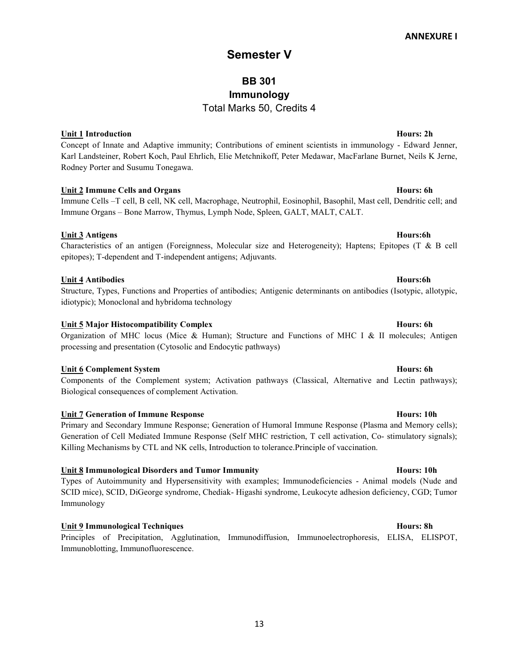# Semester V

# BB 301 Immunology Total Marks 50, Credits 4

# Unit 1 Introduction **Hours: 2h** Hours: 2h

Concept of Innate and Adaptive immunity; Contributions of eminent scientists in immunology - Edward Jenner, Karl Landsteiner, Robert Koch, Paul Ehrlich, Elie Metchnikoff, Peter Medawar, MacFarlane Burnet, Neils K Jerne, Rodney Porter and Susumu Tonegawa.

# Unit 2 Immune Cells and Organs **Hours: 6h** Bours: 6h Bours: 6h Bours: 6h Bours: 6h Bours: 6h Bours: 6h Bours: 6h

Immune Cells –T cell, B cell, NK cell, Macrophage, Neutrophil, Eosinophil, Basophil, Mast cell, Dendritic cell; and Immune Organs – Bone Marrow, Thymus, Lymph Node, Spleen, GALT, MALT, CALT.

# Unit 3 Antigens Hours:6h

# Characteristics of an antigen (Foreignness, Molecular size and Heterogeneity); Haptens; Epitopes (T & B cell epitopes); T-dependent and T-independent antigens; Adjuvants.

# Unit 4 Antibodies **Hours:6h**

Structure, Types, Functions and Properties of antibodies; Antigenic determinants on antibodies (Isotypic, allotypic, idiotypic); Monoclonal and hybridoma technology

# Unit 5 Major Histocompatibility Complex **Hours: 6h** Hours: 6h

Organization of MHC locus (Mice & Human); Structure and Functions of MHC I & II molecules; Antigen processing and presentation (Cytosolic and Endocytic pathways)

# Unit 6 Complement System **Hours: 6h** Hours: 6h

Components of the Complement system; Activation pathways (Classical, Alternative and Lectin pathways); Biological consequences of complement Activation.

# Unit 7 Generation of Immune Response **Hours:** 10h

Primary and Secondary Immune Response; Generation of Humoral Immune Response (Plasma and Memory cells); Generation of Cell Mediated Immune Response (Self MHC restriction, T cell activation, Co- stimulatory signals); Killing Mechanisms by CTL and NK cells, Introduction to tolerance.Principle of vaccination.

# Unit 8 Immunological Disorders and Tumor Immunity **Hours:** 10h

Types of Autoimmunity and Hypersensitivity with examples; Immunodeficiencies - Animal models (Nude and SCID mice), SCID, DiGeorge syndrome, Chediak- Higashi syndrome, Leukocyte adhesion deficiency, CGD; Tumor Immunology

# Unit 9 Immunological Techniques **Hours: 8h** extends the Hours: 8h extends the Hours: 8h extends the Hours: 8h extends the Hours: 8h extends the Hours: 8h extends the Hours: 8h extends the Hours: 8h extends the Hours: 8h ex

Principles of Precipitation, Agglutination, Immunodiffusion, Immunoelectrophoresis, ELISA, ELISPOT, Immunoblotting, Immunofluorescence.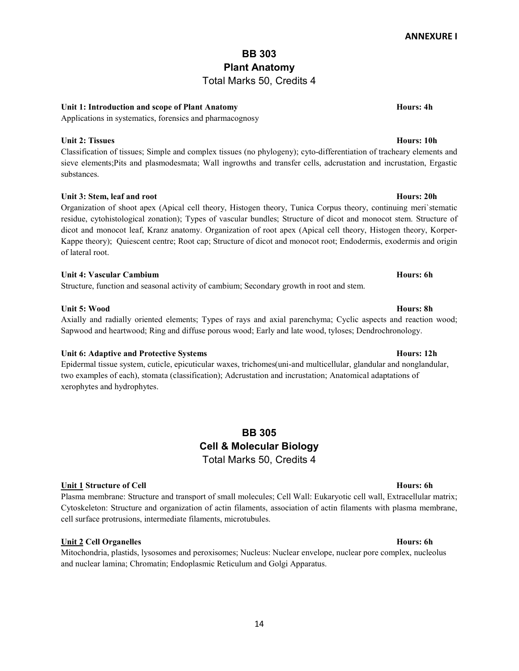# BB 303 Plant Anatomy

# Total Marks 50, Credits 4

# Unit 1: Introduction and scope of Plant Anatomy **Hours: 4h** Hours: 4h

Applications in systematics, forensics and pharmacognosy

# Unit 2: Tissues Hours: 10h

Classification of tissues; Simple and complex tissues (no phylogeny); cyto-differentiation of tracheary elements and sieve elements;Pits and plasmodesmata; Wall ingrowths and transfer cells, adcrustation and incrustation, Ergastic substances.

# Unit 3: Stem, leaf and root **Hours: 20h**

Organization of shoot apex (Apical cell theory, Histogen theory, Tunica Corpus theory, continuing meri`stematic residue, cytohistological zonation); Types of vascular bundles; Structure of dicot and monocot stem. Structure of dicot and monocot leaf, Kranz anatomy. Organization of root apex (Apical cell theory, Histogen theory, Korper-Kappe theory); Quiescent centre; Root cap; Structure of dicot and monocot root; Endodermis, exodermis and origin of lateral root.

# Unit 4: Vascular Cambium **Hours: 6h** Bours: 6h Bours: 6h Bours: 6h Bours: 6h Bours: 6h Bours: 6h Bours: 6h Bours: 6h

Structure, function and seasonal activity of cambium; Secondary growth in root and stem.

# Unit 5: Wood Hours: 8h

Unit 6: Adaptive and Protective Systems **Hours: 12h** Hours: 12h Epidermal tissue system, cuticle, epicuticular waxes, trichomes(uni-and multicellular, glandular and nonglandular, two examples of each), stomata (classification); Adcrustation and incrustation; Anatomical adaptations of xerophytes and hydrophytes.

Axially and radially oriented elements; Types of rays and axial parenchyma; Cyclic aspects and reaction wood;

# BB 305 Cell & Molecular Biology Total Marks 50, Credits 4

# Unit 1 Structure of Cell **Hours: 6h** Hours: 6h

Plasma membrane: Structure and transport of small molecules; Cell Wall: Eukaryotic cell wall, Extracellular matrix; Cytoskeleton: Structure and organization of actin filaments, association of actin filaments with plasma membrane, cell surface protrusions, intermediate filaments, microtubules.

# Unit 2 Cell Organelles **Hours: 6h** Bours: 6h Bours: 6h Bours: 6h Bours: 6h Bours: 6h Bours: 6h Bours: 6h Bours: 6h

Mitochondria, plastids, lysosomes and peroxisomes; Nucleus: Nuclear envelope, nuclear pore complex, nucleolus and nuclear lamina; Chromatin; Endoplasmic Reticulum and Golgi Apparatus.

# Sapwood and heartwood; Ring and diffuse porous wood; Early and late wood, tyloses; Dendrochronology.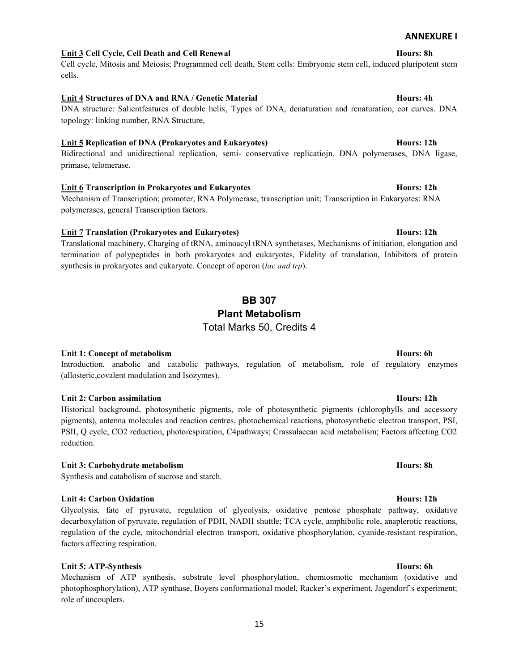# Unit 3 Cell Cycle, Cell Death and Cell Renewal **Hours: 8h** Hours: 8h

Cell cycle, Mitosis and Meiosis; Programmed cell death, Stem cells: Embryonic stem cell, induced pluripotent stem cells.

# Unit 4 Structures of DNA and RNA / Genetic Material Hours: 4h

DNA structure: Salientfeatures of double helix, Types of DNA, denaturation and renaturation, cot curves. DNA topology: linking number, RNA Structure,

### Unit 5 Replication of DNA (Prokaryotes and Eukaryotes) **Hours:** 12h

Bidirectional and unidirectional replication, semi- conservative replicatiojn. DNA polymerases, DNA ligase, primase, telomerase.

### Unit 6 Transcription in Prokaryotes and Eukaryotes **Hours: 12h** Hours: 12h

Mechanism of Transcription; promoter; RNA Polymerase, transcription unit; Transcription in Eukaryotes: RNA polymerases, general Transcription factors.

### Unit 7 Translation (Prokaryotes and Eukaryotes) The Contract of the Hours: 12h

Translational machinery, Charging of tRNA, aminoacyl tRNA synthetases, Mechanisms of initiation, elongation and termination of polypeptides in both prokaryotes and eukaryotes, Fidelity of translation, Inhibitors of protein synthesis in prokaryotes and eukaryote. Concept of operon (lac and trp).

# BB 307 Plant Metabolism

# Unit 1: Concept of metabolism **Hours: 6h** Hours: 6h

Introduction, anabolic and catabolic pathways, regulation of metabolism, role of regulatory enzymes (allosteric,covalent modulation and Isozymes).

### Unit 2: Carbon assimilation Hours: 12h

Historical background, photosynthetic pigments, role of photosynthetic pigments (chlorophylls and accessory pigments), antenna molecules and reaction centres, photochemical reactions, photosynthetic electron transport, PSI, PSII, Q cycle, CO2 reduction, photorespiration, C4pathways; Crassulacean acid metabolism; Factors affecting CO2 reduction.

### Unit 3: Carbohydrate metabolism and the second service of the Hours: 8h Hours: 8h

Synthesis and catabolism of sucrose and starch.

# Unit 4: Carbon Oxidation **Hours: 12h**

Glycolysis, fate of pyruvate, regulation of glycolysis, oxidative pentose phosphate pathway, oxidative decarboxylation of pyruvate, regulation of PDH, NADH shuttle; TCA cycle, amphibolic role, anaplerotic reactions, regulation of the cycle, mitochondrial electron transport, oxidative phosphorylation, cyanide-resistant respiration, factors affecting respiration.

# Unit 5: ATP-Synthesis Hours: 6h

Mechanism of ATP synthesis, substrate level phosphorylation, chemiosmotic mechanism (oxidative and photophosphorylation), ATP synthase, Boyers conformational model, Racker's experiment, Jagendorf's experiment; role of uncouplers.

Total Marks 50, Credits 4

ANNEXURE I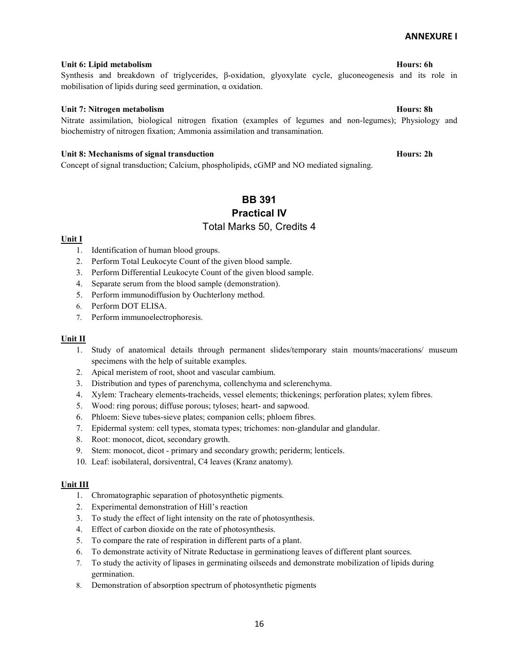### Unit 6: Lipid metabolism and the second services of the services of the services of the Hours: 6h equation of the Hours: 6h equation of the Hours: 6h equation of the Hours: 6h equation of the Hours: 6h equation of the Hour

# Synthesis and breakdown of triglycerides, β-oxidation, glyoxylate cycle, gluconeogenesis and its role in mobilisation of lipids during seed germination, α oxidation.

### Unit 7: Nitrogen metabolism **Hours: 8h** Hours: 8h

Nitrate assimilation, biological nitrogen fixation (examples of legumes and non-legumes); Physiology and biochemistry of nitrogen fixation; Ammonia assimilation and transamination.

### Unit 8: Mechanisms of signal transduction **Hours: 2h** Hours: 2h

Concept of signal transduction; Calcium, phospholipids, cGMP and NO mediated signaling.

# BB 391 Practical IV Total Marks 50, Credits 4

### Unit I

- 1. Identification of human blood groups.
- 2. Perform Total Leukocyte Count of the given blood sample.
- 3. Perform Differential Leukocyte Count of the given blood sample.
- 4. Separate serum from the blood sample (demonstration).
- 5. Perform immunodiffusion by Ouchterlony method.
- 6. Perform DOT ELISA.
- 7. Perform immunoelectrophoresis.

### Unit II

- 1. Study of anatomical details through permanent slides/temporary stain mounts/macerations/ museum specimens with the help of suitable examples.
- 2. Apical meristem of root, shoot and vascular cambium.
- 3. Distribution and types of parenchyma, collenchyma and sclerenchyma.
- 4. Xylem: Tracheary elements-tracheids, vessel elements; thickenings; perforation plates; xylem fibres.
- 5. Wood: ring porous; diffuse porous; tyloses; heart- and sapwood.
- 6. Phloem: Sieve tubes-sieve plates; companion cells; phloem fibres.
- 7. Epidermal system: cell types, stomata types; trichomes: non-glandular and glandular.
- 8. Root: monocot, dicot, secondary growth.
- 9. Stem: monocot, dicot primary and secondary growth; periderm; lenticels.
- 10. Leaf: isobilateral, dorsiventral, C4 leaves (Kranz anatomy).

### Unit III

- 1. Chromatographic separation of photosynthetic pigments.
- 2. Experimental demonstration of Hill's reaction
- 3. To study the effect of light intensity on the rate of photosynthesis.
- 4. Effect of carbon dioxide on the rate of photosynthesis.
- 5. To compare the rate of respiration in different parts of a plant.
- 6. To demonstrate activity of Nitrate Reductase in germinationg leaves of different plant sources.
- 7. To study the activity of lipases in germinating oilseeds and demonstrate mobilization of lipids during germination.
- 8. Demonstration of absorption spectrum of photosynthetic pigments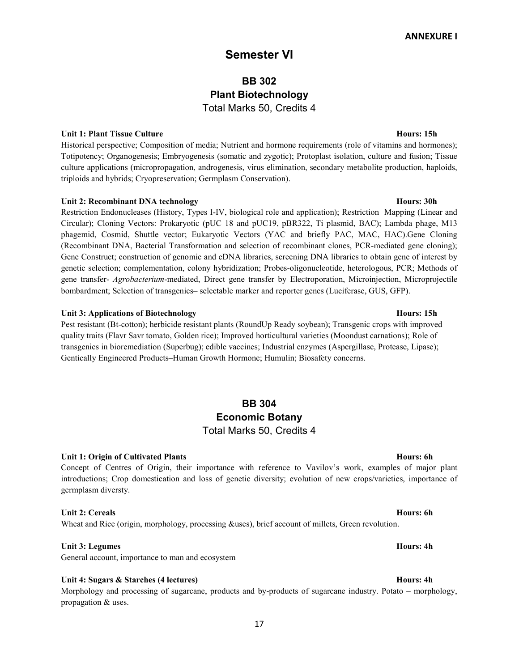# Semester VI

# BB 302 Plant Biotechnology Total Marks 50, Credits 4

### Unit 1: Plant Tissue Culture **Hours: 15h**

Historical perspective; Composition of media; Nutrient and hormone requirements (role of vitamins and hormones); Totipotency; Organogenesis; Embryogenesis (somatic and zygotic); Protoplast isolation, culture and fusion; Tissue culture applications (micropropagation, androgenesis, virus elimination, secondary metabolite production, haploids, triploids and hybrids; Cryopreservation; Germplasm Conservation).

### Unit 2: Recombinant DNA technology **Hours: 30h** Hours: 30h

Restriction Endonucleases (History, Types I-IV, biological role and application); Restriction Mapping (Linear and Circular); Cloning Vectors: Prokaryotic (pUC 18 and pUC19, pBR322, Ti plasmid, BAC); Lambda phage, M13 phagemid, Cosmid, Shuttle vector; Eukaryotic Vectors (YAC and briefly PAC, MAC, HAC).Gene Cloning (Recombinant DNA, Bacterial Transformation and selection of recombinant clones, PCR-mediated gene cloning); Gene Construct; construction of genomic and cDNA libraries, screening DNA libraries to obtain gene of interest by genetic selection; complementation, colony hybridization; Probes-oligonucleotide, heterologous, PCR; Methods of gene transfer- Agrobacterium-mediated, Direct gene transfer by Electroporation, Microinjection, Microprojectile bombardment; Selection of transgenics– selectable marker and reporter genes (Luciferase, GUS, GFP).

### Unit 3: Applications of Biotechnology **Hours: 15h**

Pest resistant (Bt-cotton); herbicide resistant plants (RoundUp Ready soybean); Transgenic crops with improved quality traits (Flavr Savr tomato, Golden rice); Improved horticultural varieties (Moondust carnations); Role of transgenics in bioremediation (Superbug); edible vaccines; Industrial enzymes (Aspergillase, Protease, Lipase); Gentically Engineered Products–Human Growth Hormone; Humulin; Biosafety concerns.

# BB 304 Economic Botany Total Marks 50, Credits 4

# Unit 1: Origin of Cultivated Plants Hours: 6h

Concept of Centres of Origin, their importance with reference to Vavilov's work, examples of major plant introductions; Crop domestication and loss of genetic diversity; evolution of new crops/varieties, importance of germplasm diversty.

# Unit 2: Cereals Hours: 6h

# Wheat and Rice (origin, morphology, processing &uses), brief account of millets, Green revolution.

# Unit 3: Legumes Hours: 4h

General account, importance to man and ecosystem

### Unit 4: Sugars & Starches (4 lectures) Hours: 4h

Morphology and processing of sugarcane, products and by-products of sugarcane industry. Potato – morphology, propagation & uses.

17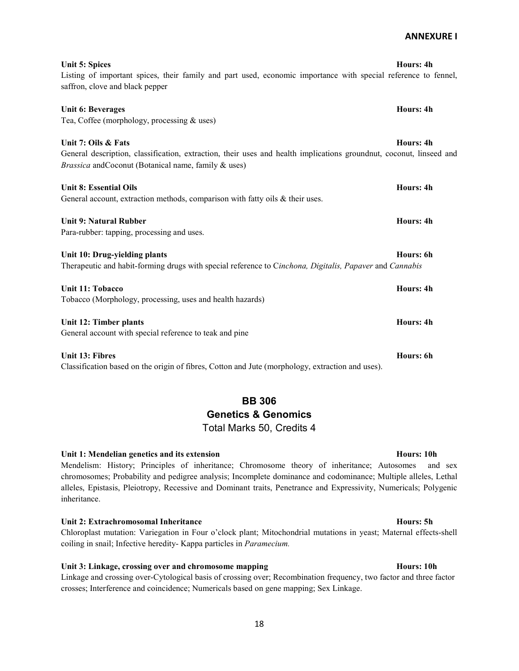# Unit 5: Spices Hours: 4h

ANNEXURE I

Listing of important spices, their family and part used, economic importance with special reference to fennel, saffron, clove and black pepper

Tea, Coffee (morphology, processing & uses) Unit 7: Oils & Fats Hours: 4h

Unit 6: Beverages Hours: 4h

General description, classification, extraction, their uses and health implications groundnut, coconut, linseed and Brassica andCoconut (Botanical name, family & uses)

Unit 8: Essential Oils **Hours: 4h Hours: 4h Hours: 4h Hours: 4h** General account, extraction methods, comparison with fatty oils & their uses.

Unit 9: Natural Rubber **Hours: 4h** Unit 9: Natural Rubber **Hours: 4h** Unit 9: Natural Rubber Para-rubber: tapping, processing and uses.

Unit 10: Drug-yielding plants Hours: 6h Therapeutic and habit-forming drugs with special reference to Cinchona, Digitalis, Papaver and Cannabis

Unit 11: Tobacco Hours: 4h Tobacco (Morphology, processing, uses and health hazards)

Unit 12: Timber plants Hours: 4h General account with special reference to teak and pine

Unit 13: Fibres Hours: 6h Classification based on the origin of fibres, Cotton and Jute (morphology, extraction and uses).

# BB 306 Genetics & Genomics Total Marks 50, Credits 4

# Unit 1: Mendelian genetics and its extension extension the state of the Hours: 10h

Mendelism: History; Principles of inheritance; Chromosome theory of inheritance; Autosomes and sex chromosomes; Probability and pedigree analysis; Incomplete dominance and codominance; Multiple alleles, Lethal alleles, Epistasis, Pleiotropy, Recessive and Dominant traits, Penetrance and Expressivity, Numericals; Polygenic inheritance.

# Unit 2: Extrachromosomal Inheritance **Hours: 5h** Burst 31

Chloroplast mutation: Variegation in Four o'clock plant; Mitochondrial mutations in yeast; Maternal effects-shell coiling in snail; Infective heredity- Kappa particles in Paramecium.

# Unit 3: Linkage, crossing over and chromosome mapping hours: 10h

Linkage and crossing over-Cytological basis of crossing over; Recombination frequency, two factor and three factor crosses; Interference and coincidence; Numericals based on gene mapping; Sex Linkage.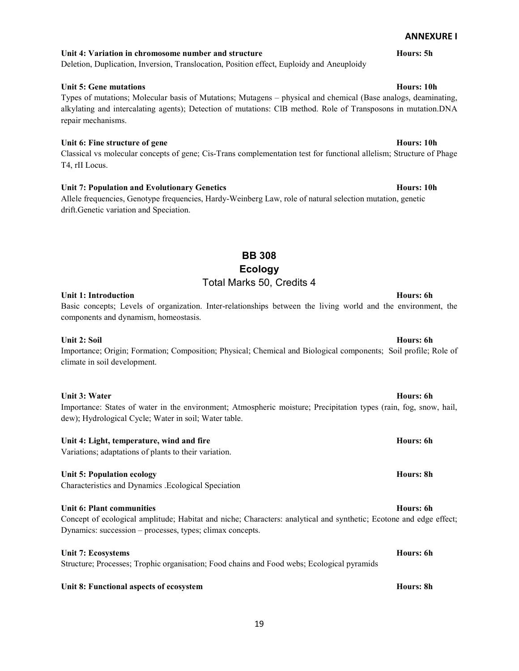# Unit 4: Variation in chromosome number and structure Hours: 5h

# Deletion, Duplication, Inversion, Translocation, Position effect, Euploidy and Aneuploidy

# Unit 5: Gene mutations **Hours: 10h**

Types of mutations; Molecular basis of Mutations; Mutagens – physical and chemical (Base analogs, deaminating, alkylating and intercalating agents); Detection of mutations: ClB method. Role of Transposons in mutation.DNA repair mechanisms.

# Unit 6: Fine structure of gene **Hours:** 10h

Classical vs molecular concepts of gene; Cis-Trans complementation test for functional allelism; Structure of Phage T4, rII Locus.

# Unit 7: Population and Evolutionary Genetics **Hours: 10h** Hours: 10h

Allele frequencies, Genotype frequencies, Hardy-Weinberg Law, role of natural selection mutation, genetic drift.Genetic variation and Speciation.

# BB 308 Ecology Total Marks 50, Credits 4

# Unit 1: Introduction **Hours: 6h** Bours: 6h Bours: 6h Bours: 6h Bours: 6h Bours: 6h Bours: 6h Bours: 6h Bours: 6h

Basic concepts; Levels of organization. Inter-relationships between the living world and the environment, the components and dynamism, homeostasis.

# Unit 2: Soil **Hours: 6h Hours: 6h Hours: 6h Hours: 6h Hours: 6h Hours: 6h**

Importance; Origin; Formation; Composition; Physical; Chemical and Biological components; Soil profile; Role of climate in soil development.

# Unit 3: Water Hours: 6h

Importance: States of water in the environment; Atmospheric moisture; Precipitation types (rain, fog, snow, hail, dew); Hydrological Cycle; Water in soil; Water table.

# Unit 4: Light, temperature, wind and fire Hours: 6h example 3 and the Hours: 6h example 3 and 5 and 5 and 6 and 6 and 6 and 6 and 6 and 6 and 6 and 6 and 6 and 6 and 6 and 6 and 6 and 6 and 6 and 6 and 6 and 6 and 6 and 6

Variations; adaptations of plants to their variation.

# Unit 5: Population ecology example of the state of the state of the state of the state of the state of the state of the state of the state of the state of the state of the state of the state of the state of the state of th

Characteristics and Dynamics .Ecological Speciation

# Unit 6: Plant communities **Hours: 6h** Bours: 6h Bours: 6h Bours: 6h Bours: 6h Bours: 6h Bours: 6h Bours: 6h Bours: 6h

Concept of ecological amplitude; Habitat and niche; Characters: analytical and synthetic; Ecotone and edge effect; Dynamics: succession – processes, types; climax concepts.

# Unit 7: Ecosystems Hours: 6h

Structure; Processes; Trophic organisation; Food chains and Food webs; Ecological pyramids

# Unit 8: Functional aspects of ecosystem **Hours: 8h** and Hours: 8h and Hours: 8h and Hours: 8h

# ANNEXURE I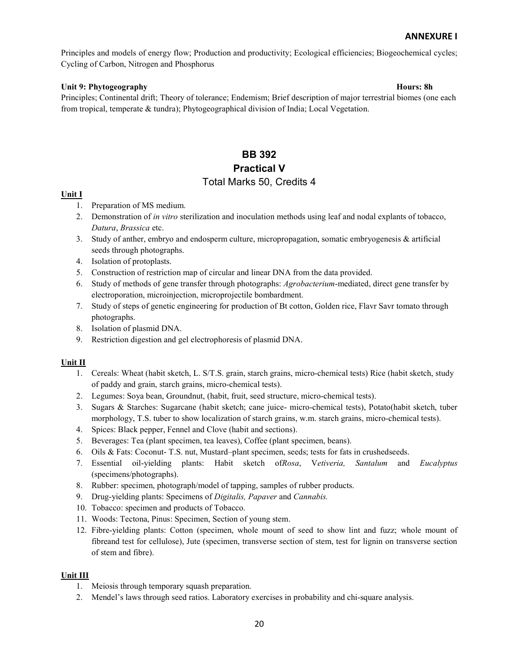Principles and models of energy flow; Production and productivity; Ecological efficiencies; Biogeochemical cycles; Cycling of Carbon, Nitrogen and Phosphorus

# Unit 9: Phytogeography Hours: 8h

Principles; Continental drift; Theory of tolerance; Endemism; Brief description of major terrestrial biomes (one each from tropical, temperate & tundra); Phytogeographical division of India; Local Vegetation.

# BB 392 Practical V

# Total Marks 50, Credits 4

### Unit I

- 1. Preparation of MS medium.
- 2. Demonstration of in vitro sterilization and inoculation methods using leaf and nodal explants of tobacco, Datura, Brassica etc.
- 3. Study of anther, embryo and endosperm culture, micropropagation, somatic embryogenesis & artificial seeds through photographs.
- 4. Isolation of protoplasts.
- 5. Construction of restriction map of circular and linear DNA from the data provided.
- 6. Study of methods of gene transfer through photographs: Agrobacterium-mediated, direct gene transfer by electroporation, microinjection, microprojectile bombardment.
- 7. Study of steps of genetic engineering for production of Bt cotton, Golden rice, Flavr Savr tomato through photographs.
- 8. Isolation of plasmid DNA.
- 9. Restriction digestion and gel electrophoresis of plasmid DNA.

### Unit II

- 1. Cereals: Wheat (habit sketch, L. S/T.S. grain, starch grains, micro-chemical tests) Rice (habit sketch, study of paddy and grain, starch grains, micro-chemical tests).
- 2. Legumes: Soya bean, Groundnut, (habit, fruit, seed structure, micro-chemical tests).
- 3. Sugars & Starches: Sugarcane (habit sketch; cane juice- micro-chemical tests), Potato(habit sketch, tuber morphology, T.S. tuber to show localization of starch grains, w.m. starch grains, micro-chemical tests).
- 4. Spices: Black pepper, Fennel and Clove (habit and sections).
- 5. Beverages: Tea (plant specimen, tea leaves), Coffee (plant specimen, beans).
- 6. Oils & Fats: Coconut- T.S. nut, Mustard–plant specimen, seeds; tests for fats in crushedseeds.
- 7. Essential oil-yielding plants: Habit sketch ofRosa, Vetiveria, Santalum and Eucalyptus (specimens/photographs).
- 8. Rubber: specimen, photograph/model of tapping, samples of rubber products.
- 9. Drug-yielding plants: Specimens of Digitalis, Papaver and Cannabis.
- 10. Tobacco: specimen and products of Tobacco.
- 11. Woods: Tectona, Pinus: Specimen, Section of young stem.
- 12. Fibre-yielding plants: Cotton (specimen, whole mount of seed to show lint and fuzz; whole mount of fibreand test for cellulose), Jute (specimen, transverse section of stem, test for lignin on transverse section of stem and fibre).

# Unit III

- 1. Meiosis through temporary squash preparation.
- 2. Mendel's laws through seed ratios. Laboratory exercises in probability and chi-square analysis.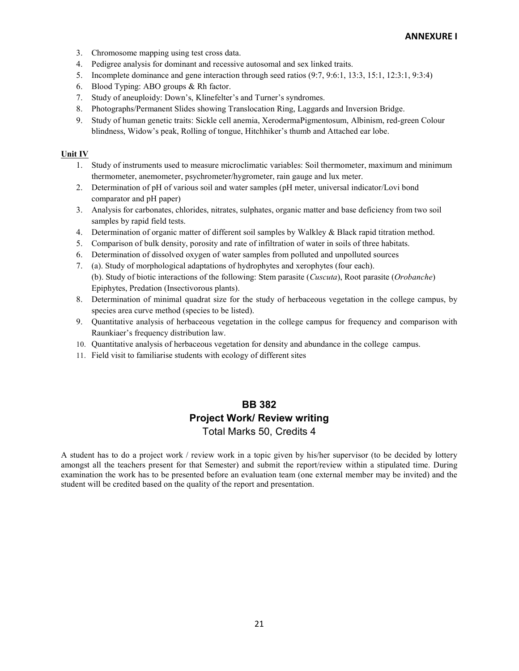- 3. Chromosome mapping using test cross data.
- 4. Pedigree analysis for dominant and recessive autosomal and sex linked traits.
- 5. Incomplete dominance and gene interaction through seed ratios (9:7, 9:6:1, 13:3, 15:1, 12:3:1, 9:3:4)
- 6. Blood Typing: ABO groups & Rh factor.
- 7. Study of aneuploidy: Down's, Klinefelter's and Turner's syndromes.
- 8. Photographs/Permanent Slides showing Translocation Ring, Laggards and Inversion Bridge.
- 9. Study of human genetic traits: Sickle cell anemia, XerodermaPigmentosum, Albinism, red-green Colour blindness, Widow's peak, Rolling of tongue, Hitchhiker's thumb and Attached ear lobe.

### Unit IV

- 1. Study of instruments used to measure microclimatic variables: Soil thermometer, maximum and minimum thermometer, anemometer, psychrometer/hygrometer, rain gauge and lux meter.
- 2. Determination of pH of various soil and water samples (pH meter, universal indicator/Lovi bond comparator and pH paper)
- 3. Analysis for carbonates, chlorides, nitrates, sulphates, organic matter and base deficiency from two soil samples by rapid field tests.
- 4. Determination of organic matter of different soil samples by Walkley & Black rapid titration method.
- 5. Comparison of bulk density, porosity and rate of infiltration of water in soils of three habitats.
- 6. Determination of dissolved oxygen of water samples from polluted and unpolluted sources
- 7. (a). Study of morphological adaptations of hydrophytes and xerophytes (four each).
- (b). Study of biotic interactions of the following: Stem parasite (Cuscuta), Root parasite (Orobanche) Epiphytes, Predation (Insectivorous plants).
- 8. Determination of minimal quadrat size for the study of herbaceous vegetation in the college campus, by species area curve method (species to be listed).
- 9. Quantitative analysis of herbaceous vegetation in the college campus for frequency and comparison with Raunkiaer's frequency distribution law.
- 10. Quantitative analysis of herbaceous vegetation for density and abundance in the college campus.
- 11. Field visit to familiarise students with ecology of different sites

# BB 382 Project Work/ Review writing Total Marks 50, Credits 4

A student has to do a project work / review work in a topic given by his/her supervisor (to be decided by lottery amongst all the teachers present for that Semester) and submit the report/review within a stipulated time. During examination the work has to be presented before an evaluation team (one external member may be invited) and the student will be credited based on the quality of the report and presentation.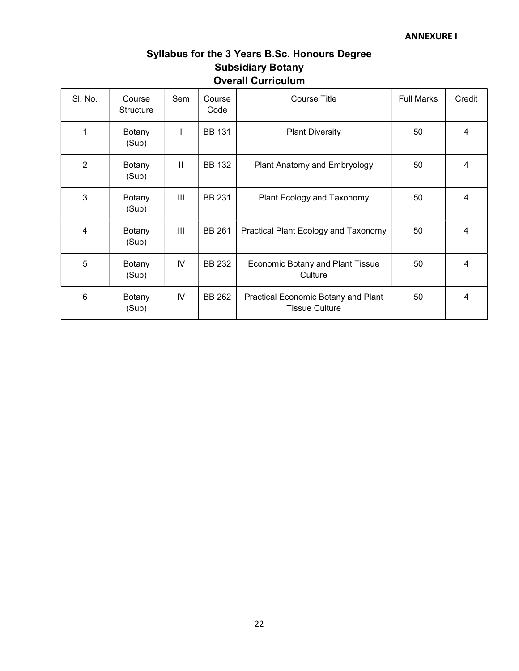# Syllabus for the 3 Years B.Sc. Honours Degree Subsidiary Botany Overall Curriculum

| SI. No.        | Course<br><b>Structure</b> | Sem           | Course<br>Code | <b>Course Title</b>                                          | <b>Full Marks</b> | Credit |
|----------------|----------------------------|---------------|----------------|--------------------------------------------------------------|-------------------|--------|
| 1              | Botany<br>(Sub)            | L             | <b>BB 131</b>  | <b>Plant Diversity</b>                                       | 50                | 4      |
| $\overline{2}$ | Botany<br>(Sub)            | $\mathbf{II}$ | <b>BB 132</b>  | Plant Anatomy and Embryology                                 | 50                | 4      |
| 3              | Botany<br>(Sub)            | Ш             | <b>BB 231</b>  | Plant Ecology and Taxonomy                                   | 50                | 4      |
| 4              | Botany<br>(Sub)            | III           | <b>BB 261</b>  | Practical Plant Ecology and Taxonomy                         | 50                | 4      |
| 5              | Botany<br>(Sub)            | IV            | <b>BB 232</b>  | Economic Botany and Plant Tissue<br>Culture                  | 50                | 4      |
| 6              | Botany<br>(Sub)            | IV            | BB 262         | Practical Economic Botany and Plant<br><b>Tissue Culture</b> | 50                | 4      |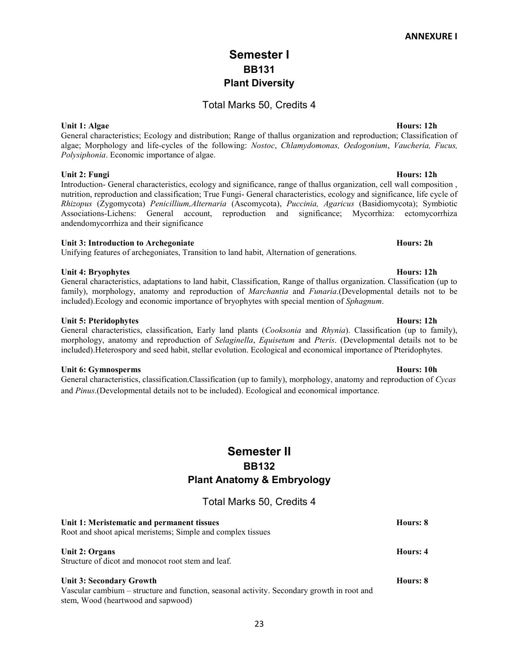# Semester I BB131 Plant Diversity

# Total Marks 50, Credits 4

General characteristics; Ecology and distribution; Range of thallus organization and reproduction; Classification of algae; Morphology and life-cycles of the following: Nostoc, Chlamydomonas, Oedogonium, Vaucheria, Fucus, Polysiphonia. Economic importance of algae.

# Unit 2: Fungi Hours: 12h

Introduction- General characteristics, ecology and significance, range of thallus organization, cell wall composition , nutrition, reproduction and classification; True Fungi- General characteristics, ecology and significance, life cycle of Rhizopus (Zygomycota) Penicillium,Alternaria (Ascomycota), Puccinia, Agaricus (Basidiomycota); Symbiotic Associations-Lichens: General account, reproduction and significance; Mycorrhiza: ectomycorrhiza andendomycorrhiza and their significance

### Unit 3: Introduction to Archegoniate Hours: 2h

Unifying features of archegoniates, Transition to land habit, Alternation of generations.

### Unit 4: Bryophytes Hours: 12h

General characteristics, adaptations to land habit, Classification, Range of thallus organization. Classification (up to family), morphology, anatomy and reproduction of *Marchantia* and *Funaria*.(Developmental details not to be included). Ecology and economic importance of bryophytes with special mention of *Sphagnum*.

### Unit 5: Pteridophytes **Hours: 12h**

# General characteristics, classification, Early land plants (Cooksonia and Rhynia). Classification (up to family), morphology, anatomy and reproduction of Selaginella, Equisetum and Pteris. (Developmental details not to be included).Heterospory and seed habit, stellar evolution. Ecological and economical importance of Pteridophytes.

### Unit 6: Gymnosperms Hours: 10h

General characteristics, classification.Classification (up to family), morphology, anatomy and reproduction of Cycas and Pinus.(Developmental details not to be included). Ecological and economical importance.

# Semester II BB132 Plant Anatomy & Embryology

Total Marks 50, Credits 4

| Unit 1: Meristematic and permanent tissues                                                 | Hours: 8 |
|--------------------------------------------------------------------------------------------|----------|
| Root and shoot apical meristems; Simple and complex tissues                                |          |
| Unit 2: Organs                                                                             | Hours: 4 |
| Structure of dicot and monocot root stem and leaf.                                         |          |
| <b>Unit 3: Secondary Growth</b>                                                            | Hours: 8 |
| Vascular cambium – structure and function, seasonal activity. Secondary growth in root and |          |
| stem, Wood (heartwood and sapwood)                                                         |          |

# Unit 1: Algae Hours: 12h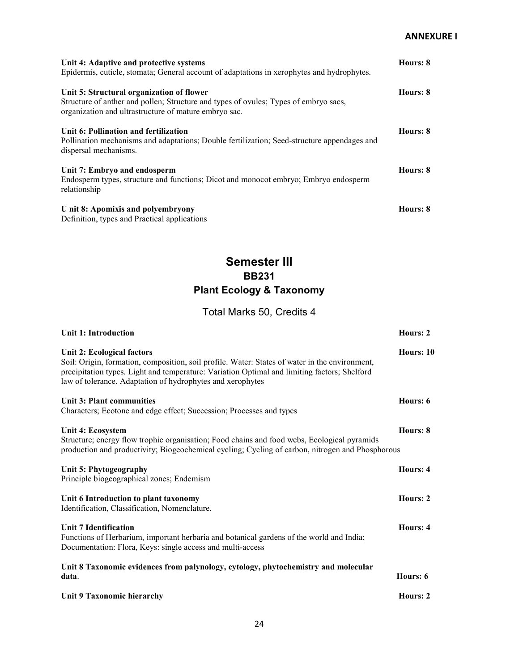| Unit 4: Adaptive and protective systems<br>Epidermis, cuticle, stomata; General account of adaptations in xerophytes and hydrophytes.                                                      | Hours: 8 |
|--------------------------------------------------------------------------------------------------------------------------------------------------------------------------------------------|----------|
| Unit 5: Structural organization of flower<br>Structure of anther and pollen; Structure and types of ovules; Types of embryo sacs,<br>organization and ultrastructure of mature embryo sac. | Hours: 8 |
| Unit 6: Pollination and fertilization<br>Pollination mechanisms and adaptations; Double fertilization; Seed-structure appendages and<br>dispersal mechanisms.                              | Hours: 8 |
| Unit 7: Embryo and endosperm<br>Endosperm types, structure and functions; Dicot and monocot embryo; Embryo endosperm<br>relationship                                                       | Hours: 8 |
| U nit 8: Apomixis and polyembryony<br>Definition, types and Practical applications                                                                                                         | Hours: 8 |

# Semester III BB231 Plant Ecology & Taxonomy

# Total Marks 50, Credits 4

| <b>Unit 1: Introduction</b>                                                                                                                                                                                                                                                                | Hours: 2  |
|--------------------------------------------------------------------------------------------------------------------------------------------------------------------------------------------------------------------------------------------------------------------------------------------|-----------|
| Unit 2: Ecological factors<br>Soil: Origin, formation, composition, soil profile. Water: States of water in the environment,<br>precipitation types. Light and temperature: Variation Optimal and limiting factors; Shelford<br>law of tolerance. Adaptation of hydrophytes and xerophytes | Hours: 10 |
| Unit 3: Plant communities<br>Characters; Ecotone and edge effect; Succession; Processes and types                                                                                                                                                                                          | Hours: 6  |
| Unit 4: Ecosystem<br>Structure; energy flow trophic organisation; Food chains and food webs, Ecological pyramids<br>production and productivity; Biogeochemical cycling; Cycling of carbon, nitrogen and Phosphorous                                                                       | Hours: 8  |
| Unit 5: Phytogeography<br>Principle biogeographical zones; Endemism                                                                                                                                                                                                                        | Hours: 4  |
| Unit 6 Introduction to plant taxonomy<br>Identification, Classification, Nomenclature.                                                                                                                                                                                                     | Hours: 2  |
| <b>Unit 7 Identification</b><br>Functions of Herbarium, important herbaria and botanical gardens of the world and India;<br>Documentation: Flora, Keys: single access and multi-access                                                                                                     | Hours: 4  |
| Unit 8 Taxonomic evidences from palynology, cytology, phytochemistry and molecular<br>data.                                                                                                                                                                                                | Hours: 6  |
| Unit 9 Taxonomic hierarchy                                                                                                                                                                                                                                                                 | Hours: 2  |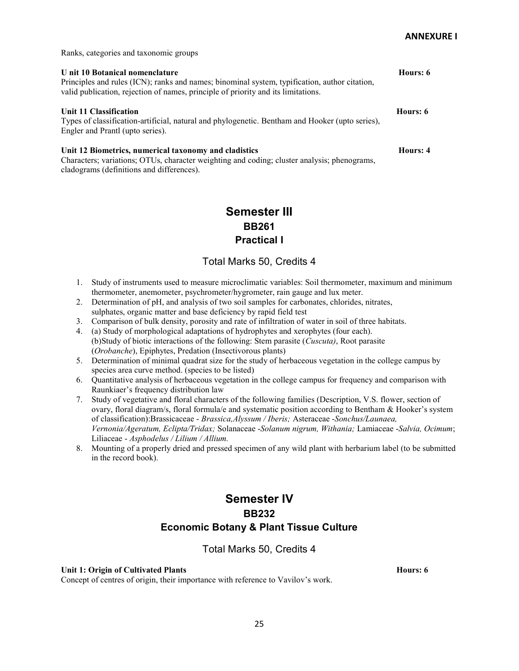Ranks, categories and taxonomic groups

cladograms (definitions and differences).

| U nit 10 Botanical nomenclature<br>Principles and rules (ICN); ranks and names; binominal system, typification, author citation,<br>valid publication, rejection of names, principle of priority and its limitations. | Hours: 6 |
|-----------------------------------------------------------------------------------------------------------------------------------------------------------------------------------------------------------------------|----------|
| Unit 11 Classification<br>Types of classification-artificial, natural and phylogenetic. Bentham and Hooker (upto series),<br>Engler and Prantl (upto series).                                                         | Hours: 6 |
| Unit 12 Biometrics, numerical taxonomy and cladistics<br>Characters: variations: OTUs, character weighting and coding: cluster analysis: phenograms.                                                                  | Hours: 4 |

# Semester III BB261 Practical I

# Total Marks 50, Credits 4

- 1. Study of instruments used to measure microclimatic variables: Soil thermometer, maximum and minimum thermometer, anemometer, psychrometer/hygrometer, rain gauge and lux meter.
- 2. Determination of pH, and analysis of two soil samples for carbonates, chlorides, nitrates, sulphates, organic matter and base deficiency by rapid field test
- 3. Comparison of bulk density, porosity and rate of infiltration of water in soil of three habitats.
- 4. (a) Study of morphological adaptations of hydrophytes and xerophytes (four each). (b)Study of biotic interactions of the following: Stem parasite (Cuscuta), Root parasite (Orobanche), Epiphytes, Predation (Insectivorous plants)
- 5. Determination of minimal quadrat size for the study of herbaceous vegetation in the college campus by species area curve method. (species to be listed)
- 6. Quantitative analysis of herbaceous vegetation in the college campus for frequency and comparison with Raunkiaer's frequency distribution law
- 7. Study of vegetative and floral characters of the following families (Description, V.S. flower, section of ovary, floral diagram/s, floral formula/e and systematic position according to Bentham & Hooker's system of classification):Brassicaceae - Brassica,Alyssum / Iberis; Asteraceae -Sonchus/Launaea, Vernonia/Ageratum, Eclipta/Tridax; Solanaceae -Solanum nigrum, Withania; Lamiaceae -Salvia, Ocimum; Liliaceae - Asphodelus / Lilium / Allium.
- 8. Mounting of a properly dried and pressed specimen of any wild plant with herbarium label (to be submitted in the record book).

# Semester IV BB232 Economic Botany & Plant Tissue Culture

# Total Marks 50, Credits 4

### Unit 1: Origin of Cultivated Plants Hours: 6

Concept of centres of origin, their importance with reference to Vavilov's work.